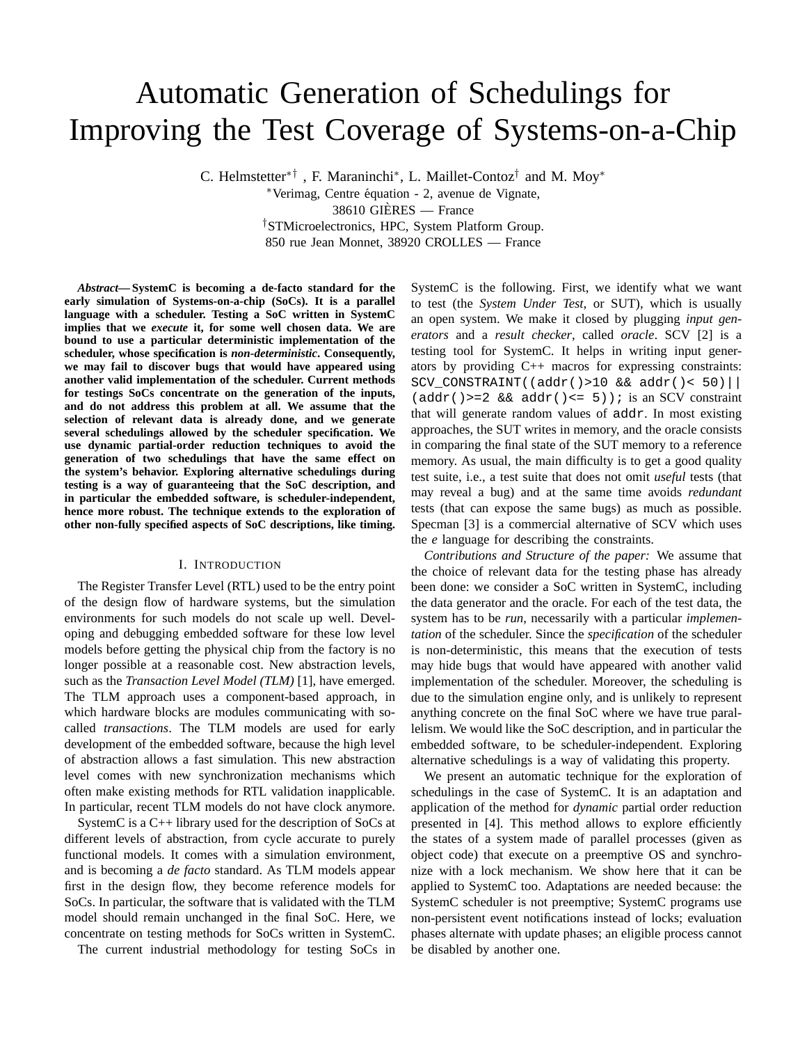# Automatic Generation of Schedulings for Improving the Test Coverage of Systems-on-a-Chip

C. Helmstetter<sup>\*†</sup>, F. Maraninchi<sup>\*</sup>, L. Maillet-Contoz<sup>†</sup> and M. Moy<sup>\*</sup> <sup>∗</sup>Verimag, Centre equation - 2, avenue de Vignate, ´

38610 GIERES — France `

†STMicroelectronics, HPC, System Platform Group. 850 rue Jean Monnet, 38920 CROLLES — France

*Abstract***— SystemC is becoming a de-facto standard for the early simulation of Systems-on-a-chip (SoCs). It is a parallel language with a scheduler. Testing a SoC written in SystemC implies that we** *execute* **it, for some well chosen data. We are bound to use a particular deterministic implementation of the scheduler, whose specification is** *non-deterministic***. Consequently, we may fail to discover bugs that would have appeared using another valid implementation of the scheduler. Current methods for testings SoCs concentrate on the generation of the inputs, and do not address this problem at all. We assume that the selection of relevant data is already done, and we generate several schedulings allowed by the scheduler specification. We use dynamic partial-order reduction techniques to avoid the generation of two schedulings that have the same effect on the system's behavior. Exploring alternative schedulings during testing is a way of guaranteeing that the SoC description, and in particular the embedded software, is scheduler-independent, hence more robust. The technique extends to the exploration of other non-fully specified aspects of SoC descriptions, like timing.**

#### I. INTRODUCTION

The Register Transfer Level (RTL) used to be the entry point of the design flow of hardware systems, but the simulation environments for such models do not scale up well. Developing and debugging embedded software for these low level models before getting the physical chip from the factory is no longer possible at a reasonable cost. New abstraction levels, such as the *Transaction Level Model (TLM)* [1], have emerged. The TLM approach uses a component-based approach, in which hardware blocks are modules communicating with socalled *transactions*. The TLM models are used for early development of the embedded software, because the high level of abstraction allows a fast simulation. This new abstraction level comes with new synchronization mechanisms which often make existing methods for RTL validation inapplicable. In particular, recent TLM models do not have clock anymore.

SystemC is a C++ library used for the description of SoCs at different levels of abstraction, from cycle accurate to purely functional models. It comes with a simulation environment, and is becoming a *de facto* standard. As TLM models appear first in the design flow, they become reference models for SoCs. In particular, the software that is validated with the TLM model should remain unchanged in the final SoC. Here, we concentrate on testing methods for SoCs written in SystemC.

The current industrial methodology for testing SoCs in

SystemC is the following. First, we identify what we want to test (the *System Under Test*, or SUT), which is usually an open system. We make it closed by plugging *input generators* and a *result checker*, called *oracle*. SCV [2] is a testing tool for SystemC. It helps in writing input generators by providing C++ macros for expressing constraints: SCV CONSTRAINT((addr()>10 && addr()< 50)||  $(\text{addr}()>=2 \& \& \text{addr}()<=5)$ ; is an SCV constraint that will generate random values of addr. In most existing approaches, the SUT writes in memory, and the oracle consists in comparing the final state of the SUT memory to a reference memory. As usual, the main difficulty is to get a good quality test suite, i.e., a test suite that does not omit *useful* tests (that may reveal a bug) and at the same time avoids *redundant* tests (that can expose the same bugs) as much as possible. Specman [3] is a commercial alternative of SCV which uses the *e* language for describing the constraints.

*Contributions and Structure of the paper:* We assume that the choice of relevant data for the testing phase has already been done: we consider a SoC written in SystemC, including the data generator and the oracle. For each of the test data, the system has to be *run*, necessarily with a particular *implementation* of the scheduler. Since the *specification* of the scheduler is non-deterministic, this means that the execution of tests may hide bugs that would have appeared with another valid implementation of the scheduler. Moreover, the scheduling is due to the simulation engine only, and is unlikely to represent anything concrete on the final SoC where we have true parallelism. We would like the SoC description, and in particular the embedded software, to be scheduler-independent. Exploring alternative schedulings is a way of validating this property.

We present an automatic technique for the exploration of schedulings in the case of SystemC. It is an adaptation and application of the method for *dynamic* partial order reduction presented in [4]. This method allows to explore efficiently the states of a system made of parallel processes (given as object code) that execute on a preemptive OS and synchronize with a lock mechanism. We show here that it can be applied to SystemC too. Adaptations are needed because: the SystemC scheduler is not preemptive; SystemC programs use non-persistent event notifications instead of locks; evaluation phases alternate with update phases; an eligible process cannot be disabled by another one.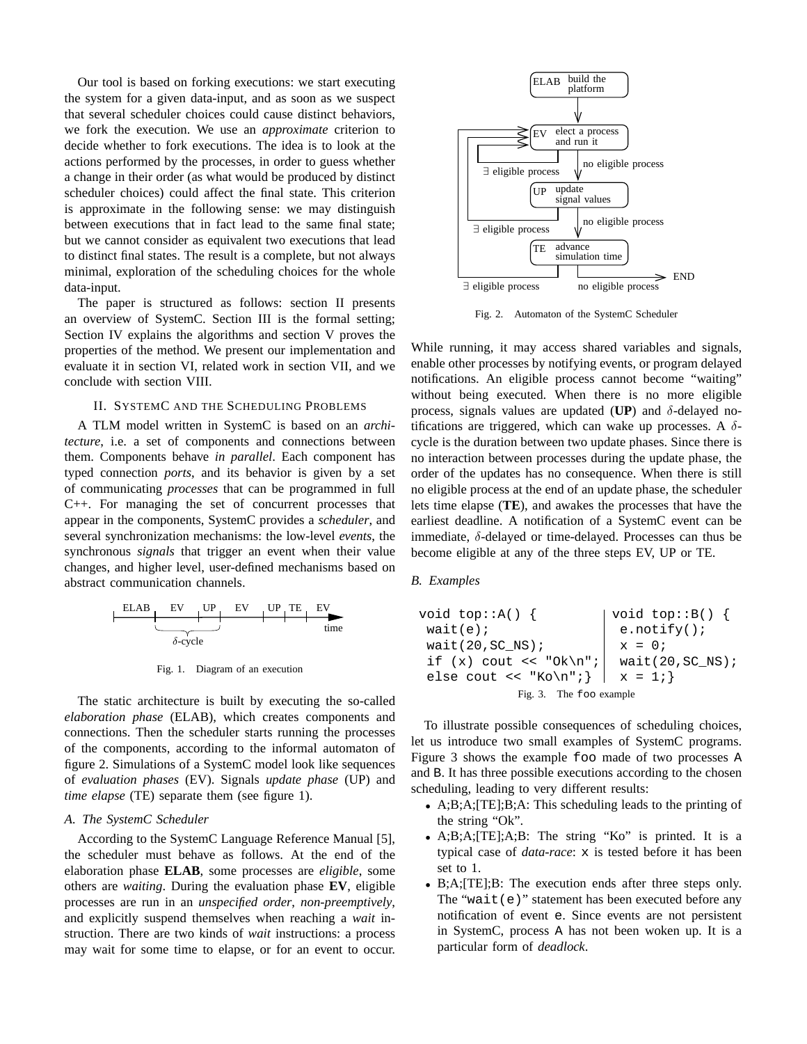Our tool is based on forking executions: we start executing the system for a given data-input, and as soon as we suspect that several scheduler choices could cause distinct behaviors, we fork the execution. We use an *approximate* criterion to decide whether to fork executions. The idea is to look at the actions performed by the processes, in order to guess whether a change in their order (as what would be produced by distinct scheduler choices) could affect the final state. This criterion is approximate in the following sense: we may distinguish between executions that in fact lead to the same final state; but we cannot consider as equivalent two executions that lead to distinct final states. The result is a complete, but not always minimal, exploration of the scheduling choices for the whole data-input.

The paper is structured as follows: section II presents an overview of SystemC. Section III is the formal setting; Section IV explains the algorithms and section V proves the properties of the method. We present our implementation and evaluate it in section VI, related work in section VII, and we conclude with section VIII.

## II. SYSTEMC AND THE SCHEDULING PROBLEMS

A TLM model written in SystemC is based on an *architecture*, i.e. a set of components and connections between them. Components behave *in parallel*. Each component has typed connection *ports*, and its behavior is given by a set of communicating *processes* that can be programmed in full C++. For managing the set of concurrent processes that appear in the components, SystemC provides a *scheduler*, and several synchronization mechanisms: the low-level *events*, the synchronous *signals* that trigger an event when their value changes, and higher level, user-defined mechanisms based on abstract communication channels.

| ELAB            | EV   | UP | EV | UP | TE | EV |
|-----------------|------|----|----|----|----|----|
| $\delta$ -cycle | time |    |    |    |    |    |

Fig. 1. Diagram of an execution

The static architecture is built by executing the so-called *elaboration phase* (ELAB), which creates components and connections. Then the scheduler starts running the processes of the components, according to the informal automaton of figure 2. Simulations of a SystemC model look like sequences of *evaluation phases* (EV). Signals *update phase* (UP) and *time elapse* (TE) separate them (see figure 1).

# *A. The SystemC Scheduler*

According to the SystemC Language Reference Manual [5], the scheduler must behave as follows. At the end of the elaboration phase **ELAB**, some processes are *eligible*, some others are *waiting*. During the evaluation phase **EV**, eligible processes are run in an *unspecified order*, *non-preemptively*, and explicitly suspend themselves when reaching a *wait* instruction. There are two kinds of *wait* instructions: a process may wait for some time to elapse, or for an event to occur.



Fig. 2. Automaton of the SystemC Scheduler

While running, it may access shared variables and signals, enable other processes by notifying events, or program delayed notifications. An eligible process cannot become "waiting" without being executed. When there is no more eligible process, signals values are updated ( $UP$ ) and  $\delta$ -delayed notifications are triggered, which can wake up processes. A  $\delta$ cycle is the duration between two update phases. Since there is no interaction between processes during the update phase, the order of the updates has no consequence. When there is still no eligible process at the end of an update phase, the scheduler lets time elapse (**TE**), and awakes the processes that have the earliest deadline. A notification of a SystemC event can be immediate, δ-delayed or time-delayed. Processes can thus be become eligible at any of the three steps EV, UP or TE.

#### *B. Examples*

void top::A() { wait(e); wait(20,SC\_NS); if (x) cout << "Ok\n"; else cout << "Ko\n";} void top::B() { e.notify(); x = 0; wait(20,SC\_NS); x = 1;} Fig. 3. The foo example

To illustrate possible consequences of scheduling choices, let us introduce two small examples of SystemC programs. Figure 3 shows the example foo made of two processes A and B. It has three possible executions according to the chosen scheduling, leading to very different results:

- A;B;A;[TE];B;A: This scheduling leads to the printing of the string "Ok".
- A;B;A;[TE];A;B: The string "Ko" is printed. It is a typical case of *data-race*: x is tested before it has been set to 1.
- B;A; [TE]; B: The execution ends after three steps only. The "wait(e)" statement has been executed before any notification of event e. Since events are not persistent in SystemC, process A has not been woken up. It is a particular form of *deadlock*.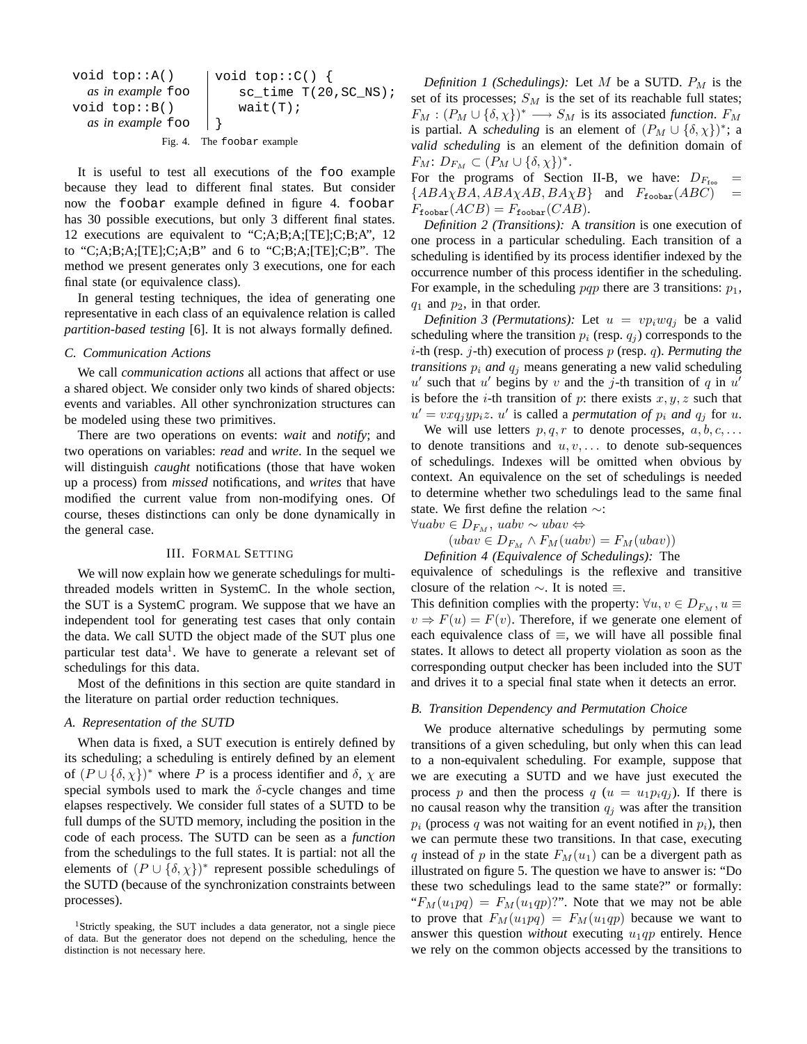```
void top::A()
  as in example foo
void top::B()
  as in example foo
                       void top::C() {
                           sc\_time T(20, SC<sub>NS</sub>);
                           wait(T);
                       }
```
Fig. 4. The foobar example

It is useful to test all executions of the foo example because they lead to different final states. But consider now the foobar example defined in figure 4. foobar has 30 possible executions, but only 3 different final states. 12 executions are equivalent to "C;A;B;A;[TE];C;B;A", 12 to "C;A;B;A; $[TE]$ ;C;A;B" and 6 to "C;B;A; $[TE]$ ;C;B". The method we present generates only 3 executions, one for each final state (or equivalence class).

In general testing techniques, the idea of generating one representative in each class of an equivalence relation is called *partition-based testing* [6]. It is not always formally defined.

#### *C. Communication Actions*

We call *communication actions* all actions that affect or use a shared object. We consider only two kinds of shared objects: events and variables. All other synchronization structures can be modeled using these two primitives.

There are two operations on events: *wait* and *notify*; and two operations on variables: *read* and *write*. In the sequel we will distinguish *caught* notifications (those that have woken up a process) from *missed* notifications, and *writes* that have modified the current value from non-modifying ones. Of course, theses distinctions can only be done dynamically in the general case.

# III. FORMAL SETTING

We will now explain how we generate schedulings for multithreaded models written in SystemC. In the whole section, the SUT is a SystemC program. We suppose that we have an independent tool for generating test cases that only contain the data. We call SUTD the object made of the SUT plus one particular test data<sup>1</sup>. We have to generate a relevant set of schedulings for this data.

Most of the definitions in this section are quite standard in the literature on partial order reduction techniques.

#### *A. Representation of the SUTD*

When data is fixed, a SUT execution is entirely defined by its scheduling; a scheduling is entirely defined by an element of  $(P \cup \{\delta, \chi\})^*$  where P is a process identifier and  $\delta$ ,  $\chi$  are special symbols used to mark the  $\delta$ -cycle changes and time elapses respectively. We consider full states of a SUTD to be full dumps of the SUTD memory, including the position in the code of each process. The SUTD can be seen as a *function* from the schedulings to the full states. It is partial: not all the elements of  $(P \cup \{\delta, \chi\})^*$  represent possible schedulings of the SUTD (because of the synchronization constraints between processes).

*Definition 1 (Schedulings):* Let M be a SUTD.  $P_M$  is the set of its processes;  $S_M$  is the set of its reachable full states;  $F_M : (P_M \cup \{\delta, \chi\})^* \longrightarrow S_M$  is its associated *function*.  $F_M$ is partial. A *scheduling* is an element of  $(P_M \cup \{\delta, \chi\})^*$ ; a *valid scheduling* is an element of the definition domain of  $F_M: D_{F_M} \subset (P_M \cup \{\delta, \chi\})^*.$ 

For the programs of Section II-B, we have:  $D_{F_{\text{foo}}}$  =  ${ABA\chi BA, ABA\chi AB, BA\chi B}$  and  $F_{\text{fookar}}(ABC)$  $F_{\text{foobar}}(ACB) = F_{\text{foobar}}(CAB).$ 

*Definition 2 (Transitions):* A *transition* is one execution of one process in a particular scheduling. Each transition of a scheduling is identified by its process identifier indexed by the occurrence number of this process identifier in the scheduling. For example, in the scheduling pqp there are 3 transitions:  $p_1$ ,  $q_1$  and  $p_2$ , in that order.

*Definition 3 (Permutations):* Let  $u = vp_iwq_i$  be a valid scheduling where the transition  $p_i$  (resp.  $q_i$ ) corresponds to the i-th (resp. j-th) execution of process p (resp. q). *Permuting the transitions*  $p_i$  *and*  $q_j$  means generating a new valid scheduling  $u'$  such that u' begins by v and the j-th transition of q in u' is before the *i*-th transition of *p*: there exists  $x, y, z$  such that  $u' = v x q_j y p_i z$ . u' is called a *permutation of*  $p_i$  and  $q_j$  for u.

We will use letters  $p, q, r$  to denote processes,  $a, b, c, \ldots$ to denote transitions and  $u, v, \ldots$  to denote sub-sequences of schedulings. Indexes will be omitted when obvious by context. An equivalence on the set of schedulings is needed to determine whether two schedulings lead to the same final state. We first define the relation ∼:

$$
\forall uabv \in D_{F_M}, \, uabv \sim ubav \Leftrightarrow
$$

$$
(ubav \in D_{FM} \land F_M(uabv) = F_M(ubav))
$$
  
Definition 4 (Equivalence of Schedulings): The

equivalence of schedulings is the reflexive and transitive closure of the relation  $\sim$ . It is noted  $\equiv$ .

This definition complies with the property:  $\forall u, v \in D_{F_M}, u \equiv$  $v \Rightarrow F(u) = F(v)$ . Therefore, if we generate one element of each equivalence class of  $\equiv$ , we will have all possible final states. It allows to detect all property violation as soon as the corresponding output checker has been included into the SUT and drives it to a special final state when it detects an error.

# *B. Transition Dependency and Permutation Choice*

We produce alternative schedulings by permuting some transitions of a given scheduling, but only when this can lead to a non-equivalent scheduling. For example, suppose that we are executing a SUTD and we have just executed the process p and then the process q  $(u = u_1 p_i q_i)$ . If there is no causal reason why the transition  $q_i$  was after the transition  $p_i$  (process q was not waiting for an event notified in  $p_i$ ), then we can permute these two transitions. In that case, executing q instead of p in the state  $F_M(u_1)$  can be a divergent path as illustrated on figure 5. The question we have to answer is: "Do these two schedulings lead to the same state?" or formally: " $F_M(u_1pq) = F_M(u_1qp)$ ". Note that we may not be able to prove that  $F_M(u_1pq) = F_M(u_1qp)$  because we want to answer this question *without* executing  $u_1qp$  entirely. Hence we rely on the common objects accessed by the transitions to

<sup>&</sup>lt;sup>1</sup>Strictly speaking, the SUT includes a data generator, not a single piece of data. But the generator does not depend on the scheduling, hence the distinction is not necessary here.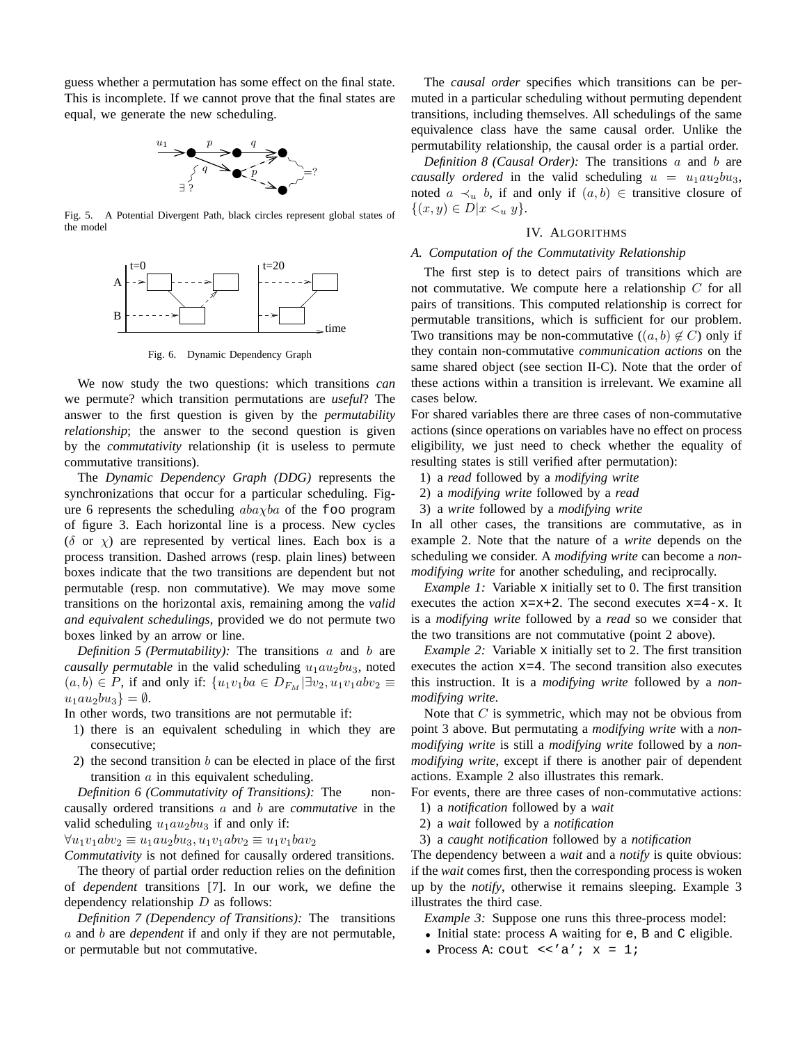guess whether a permutation has some effect on the final state. This is incomplete. If we cannot prove that the final states are equal, we generate the new scheduling.



Fig. 5. A Potential Divergent Path, black circles represent global states of the model



Fig. 6. Dynamic Dependency Graph

We now study the two questions: which transitions *can* we permute? which transition permutations are *useful*? The answer to the first question is given by the *permutability relationship*; the answer to the second question is given by the *commutativity* relationship (it is useless to permute commutative transitions).

The *Dynamic Dependency Graph (DDG)* represents the synchronizations that occur for a particular scheduling. Figure 6 represents the scheduling  $aba\chi ba$  of the foo program of figure 3. Each horizontal line is a process. New cycles ( $\delta$  or  $\chi$ ) are represented by vertical lines. Each box is a process transition. Dashed arrows (resp. plain lines) between boxes indicate that the two transitions are dependent but not permutable (resp. non commutative). We may move some transitions on the horizontal axis, remaining among the *valid and equivalent schedulings*, provided we do not permute two boxes linked by an arrow or line.

*Definition 5 (Permutability):* The transitions a and b are *causally permutable* in the valid scheduling  $u_1au_2bu_3$ , noted  $(a, b) \in P$ , if and only if:  $\{u_1v_1ba \in D_{F_M} | \exists v_2, u_1v_1abv_2 \equiv$  $u_1au_2bu_3$ } =  $\emptyset$ .

In other words, two transitions are not permutable if:

- 1) there is an equivalent scheduling in which they are consecutive;
- 2) the second transition  $b$  can be elected in place of the first transition  $a$  in this equivalent scheduling.

*Definition 6 (Commutativity of Transitions):* The noncausally ordered transitions a and b are *commutative* in the valid scheduling  $u_1au_2bu_3$  if and only if:

 $\forall u_1v_1abv_2 \equiv u_1au_2bu_3, u_1v_1abv_2 \equiv u_1v_1bav_2$ 

*Commutativity* is not defined for causally ordered transitions.

The theory of partial order reduction relies on the definition of *dependent* transitions [7]. In our work, we define the dependency relationship  $D$  as follows:

*Definition 7 (Dependency of Transitions):* The transitions a and b are *dependent* if and only if they are not permutable, or permutable but not commutative.

The *causal order* specifies which transitions can be permuted in a particular scheduling without permuting dependent transitions, including themselves. All schedulings of the same equivalence class have the same causal order. Unlike the permutability relationship, the causal order is a partial order.

*Definition 8 (Causal Order):* The transitions a and b are *causally ordered* in the valid scheduling  $u = u_1 a u_2 b u_3$ , noted  $a \prec_u b$ , if and only if  $(a, b) \in$  transitive closure of  $\{(x, y) \in D | x \lt u y\}.$ 

## IV. ALGORITHMS

#### *A. Computation of the Commutativity Relationship*

The first step is to detect pairs of transitions which are not commutative. We compute here a relationship  $C$  for all pairs of transitions. This computed relationship is correct for permutable transitions, which is sufficient for our problem. Two transitions may be non-commutative  $((a, b) \notin C)$  only if they contain non-commutative *communication actions* on the same shared object (see section II-C). Note that the order of these actions within a transition is irrelevant. We examine all cases below.

For shared variables there are three cases of non-commutative actions (since operations on variables have no effect on process eligibility, we just need to check whether the equality of resulting states is still verified after permutation):

- 1) a *read* followed by a *modifying write*
- 2) a *modifying write* followed by a *read*
- 3) a *write* followed by a *modifying write*

In all other cases, the transitions are commutative, as in example 2. Note that the nature of a *write* depends on the scheduling we consider. A *modifying write* can become a *nonmodifying write* for another scheduling, and reciprocally.

*Example 1:* Variable x initially set to 0. The first transition executes the action  $x=x+2$ . The second executes  $x=4-x$ . It is a *modifying write* followed by a *read* so we consider that the two transitions are not commutative (point 2 above).

*Example 2:* Variable x initially set to 2. The first transition executes the action  $x=4$ . The second transition also executes this instruction. It is a *modifying write* followed by a *nonmodifying write*.

Note that  $C$  is symmetric, which may not be obvious from point 3 above. But permutating a *modifying write* with a *nonmodifying write* is still a *modifying write* followed by a *nonmodifying write*, except if there is another pair of dependent actions. Example 2 also illustrates this remark.

For events, there are three cases of non-commutative actions:

- 1) a *notification* followed by a *wait*
- 2) a *wait* followed by a *notification*
- 3) a *caught notification* followed by a *notification*

The dependency between a *wait* and a *notify* is quite obvious: if the *wait* comes first, then the corresponding process is woken up by the *notify*, otherwise it remains sleeping. Example 3 illustrates the third case.

*Example 3:* Suppose one runs this three-process model:

- Initial state: process A waiting for e, B and C eligible.
- Process A: cout  $\langle \cdot \rangle$  a';  $x = 1$ ;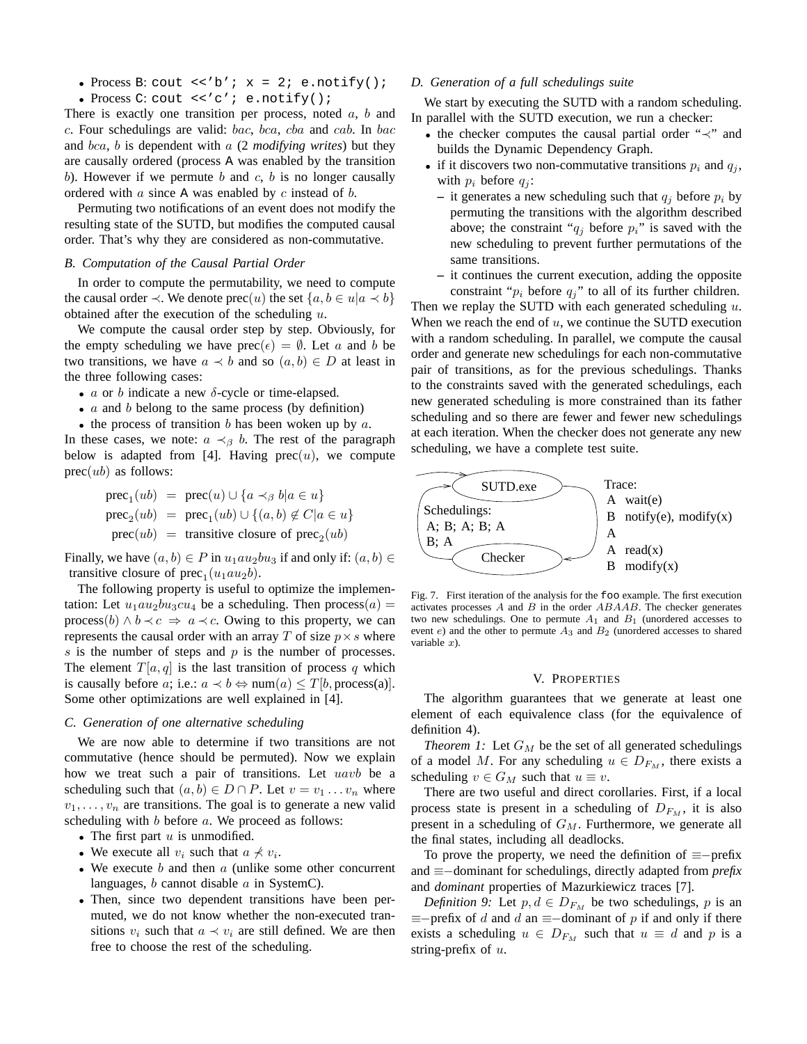- Process B: cout  $\langle \cdot \rangle'$  ;  $x = 2$ ; e.notify();
- Process C: cout <<'c'; e.notify();

There is exactly one transition per process, noted  $a, b$  and c. Four schedulings are valid: bac, bca, cba and cab. In bac and bca, b is dependent with a (2 *modifying writes*) but they are causally ordered (process A was enabled by the transition b). However if we permute b and c, b is no longer causally ordered with  $a$  since A was enabled by  $c$  instead of  $b$ .

Permuting two notifications of an event does not modify the resulting state of the SUTD, but modifies the computed causal order. That's why they are considered as non-commutative.

#### *B. Computation of the Causal Partial Order*

In order to compute the permutability, we need to compute the causal order  $\prec$ . We denote prec(u) the set  $\{a, b \in u | a \prec b\}$ obtained after the execution of the scheduling  $u$ .

We compute the causal order step by step. Obviously, for the empty scheduling we have  $prec(\epsilon) = \emptyset$ . Let a and b be two transitions, we have  $a \prec b$  and so  $(a, b) \in D$  at least in the three following cases:

- $a$  or  $b$  indicate a new  $\delta$ -cycle or time-elapsed.
- $\bullet$  *a* and *b* belong to the same process (by definition)
- the process of transition b has been woken up by  $a$ .

In these cases, we note:  $a \prec_{\beta} b$ . The rest of the paragraph below is adapted from [4]. Having  $prec(u)$ , we compute  $prec(ub)$  as follows:

$$
prec_1(ub) = prec(u) \cup \{a \prec_\beta b | a \in u\}
$$
  
\n
$$
prec_2(ub) = prec_1(ub) \cup \{(a, b) \notin C | a \in u\}
$$
  
\n
$$
prec(ub) = transitive closure of prec_2(ub)
$$

Finally, we have  $(a, b) \in P$  in  $u_1au_2bu_3$  if and only if:  $(a, b) \in$ transitive closure of  $prec_1(u_1au_2b)$ .

The following property is useful to optimize the implementation: Let  $u_1au_2bu_3cu_4$  be a scheduling. Then process $(a)$  = process(b)  $\land$  b  $\prec$  c  $\Rightarrow$  a  $\prec$  c. Owing to this property, we can represents the causal order with an array T of size  $p \times s$  where  $s$  is the number of steps and  $p$  is the number of processes. The element  $T[a, q]$  is the last transition of process q which is causally before a; i.e.:  $a \prec b \Leftrightarrow \text{num}(a) \leq T[b, \text{process}(a)].$ Some other optimizations are well explained in [4].

#### *C. Generation of one alternative scheduling*

We are now able to determine if two transitions are not commutative (hence should be permuted). Now we explain how we treat such a pair of transitions. Let uavb be a scheduling such that  $(a, b) \in D \cap P$ . Let  $v = v_1 \dots v_n$  where  $v_1, \ldots, v_n$  are transitions. The goal is to generate a new valid scheduling with  $b$  before  $a$ . We proceed as follows:

- The first part  $u$  is unmodified.
- We execute all  $v_i$  such that  $a \nless v_i$ .
- We execute  $b$  and then  $a$  (unlike some other concurrent languages,  $b$  cannot disable  $a$  in SystemC).
- Then, since two dependent transitions have been permuted, we do not know whether the non-executed transitions  $v_i$  such that  $a \prec v_i$  are still defined. We are then free to choose the rest of the scheduling.

#### *D. Generation of a full schedulings suite*

We start by executing the SUTD with a random scheduling. In parallel with the SUTD execution, we run a checker:

- the checker computes the causal partial order "≺" and builds the Dynamic Dependency Graph.
- if it discovers two non-commutative transitions  $p_i$  and  $q_j$ , with  $p_i$  before  $q_i$ :
	- it generates a new scheduling such that  $q_i$  before  $p_i$  by permuting the transitions with the algorithm described above; the constraint " $q_i$  before  $p_i$ " is saved with the new scheduling to prevent further permutations of the same transitions.
	- **–** it continues the current execution, adding the opposite constraint " $p_i$  before  $q_j$ " to all of its further children.

Then we replay the SUTD with each generated scheduling  $u$ . When we reach the end of  $u$ , we continue the SUTD execution with a random scheduling. In parallel, we compute the causal order and generate new schedulings for each non-commutative pair of transitions, as for the previous schedulings. Thanks to the constraints saved with the generated schedulings, each new generated scheduling is more constrained than its father scheduling and so there are fewer and fewer new schedulings at each iteration. When the checker does not generate any new scheduling, we have a complete test suite.



Fig. 7. First iteration of the analysis for the foo example. The first execution activates processes  $A$  and  $B$  in the order  $ABAAB$ . The checker generates two new schedulings. One to permute  $A_1$  and  $B_1$  (unordered accesses to event  $e$ ) and the other to permute  $A_3$  and  $B_2$  (unordered accesses to shared variable  $x$ ).

# V. PROPERTIES

The algorithm guarantees that we generate at least one element of each equivalence class (for the equivalence of definition 4).

*Theorem 1:* Let  $G_M$  be the set of all generated schedulings of a model M. For any scheduling  $u \in D_{F_M}$ , there exists a scheduling  $v \in G_M$  such that  $u \equiv v$ .

There are two useful and direct corollaries. First, if a local process state is present in a scheduling of  $D_{F_M}$ , it is also present in a scheduling of  $G_M$ . Furthermore, we generate all the final states, including all deadlocks.

To prove the property, we need the definition of  $\equiv$ -prefix and ≡−dominant for schedulings, directly adapted from *prefix* and *dominant* properties of Mazurkiewicz traces [7].

*Definition 9:* Let  $p, d \in D_{F_M}$  be two schedulings, p is an  $\equiv$ −prefix of d and d an  $\equiv$ −dominant of p if and only if there exists a scheduling  $u \in D_{F_M}$  such that  $u \equiv d$  and p is a string-prefix of  $u$ .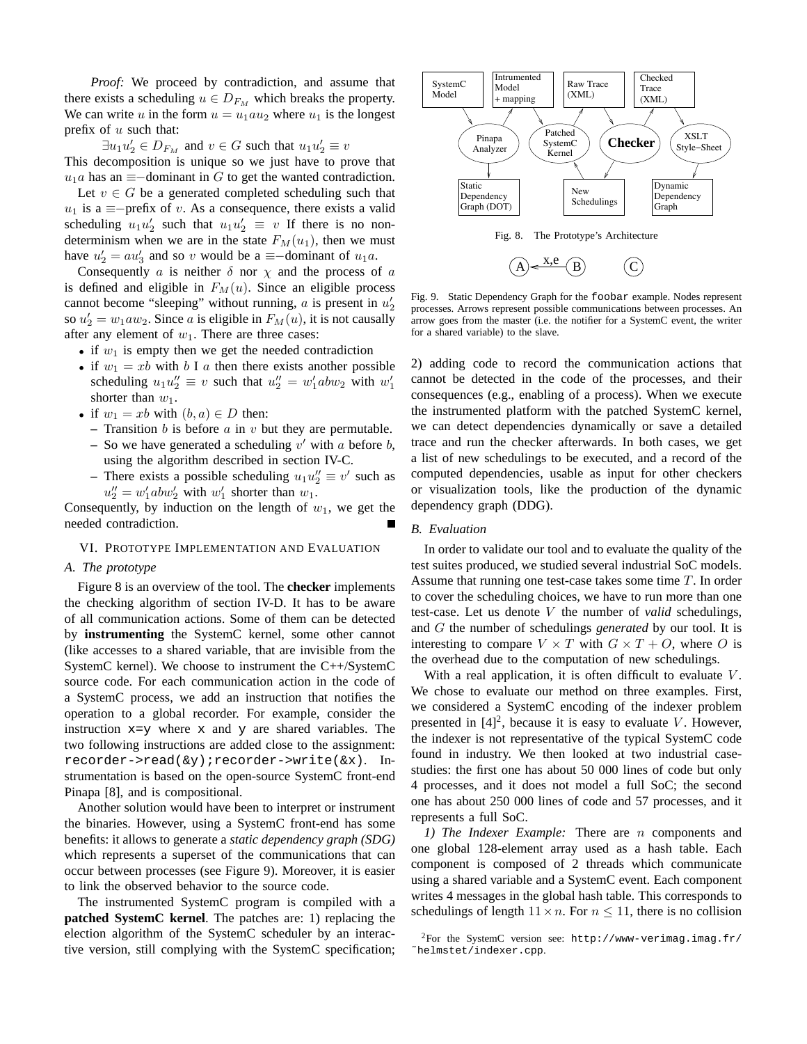*Proof:* We proceed by contradiction, and assume that there exists a scheduling  $u \in D_{F_M}$  which breaks the property. We can write u in the form  $u = u_1au_2$  where  $u_1$  is the longest prefix of  $u$  such that:

 $\exists u_1 u_2' \in D_{F_M}$  and  $v \in G$  such that  $u_1 u_2' \equiv v$ This decomposition is unique so we just have to prove that  $u_1a$  has an  $\equiv$ -dominant in G to get the wanted contradiction.

Let  $v \in G$  be a generated completed scheduling such that  $u_1$  is a ≡−prefix of v. As a consequence, there exists a valid scheduling  $u_1 u_2'$  such that  $u_1 u_2' \equiv v$  If there is no nondeterminism when we are in the state  $F_M(u_1)$ , then we must have  $u'_2 = au'_3$  and so v would be a  $\equiv$ -dominant of  $u_1a$ .

Consequently a is neither  $\delta$  nor  $\chi$  and the process of a is defined and eligible in  $F_M(u)$ . Since an eligible process cannot become "sleeping" without running,  $a$  is present in  $u'_2$ so  $u'_2 = w_1 a w_2$ . Since a is eligible in  $F_M(u)$ , it is not causally after any element of  $w_1$ . There are three cases:

- if  $w_1$  is empty then we get the needed contradiction
- if  $w_1 = xb$  with b I a then there exists another possible scheduling  $u_1 u_2'' \equiv v$  such that  $u_2'' = w_1' ab w_2$  with  $w_1'$ shorter than  $w_1$ .
- if  $w_1 = xb$  with  $(b, a) \in D$  then:
	- **–** Transition b is before a in v but they are permutable.
	- $\sim$  So we have generated a scheduling v' with a before b, using the algorithm described in section IV-C.
	- **–** There exists a possible scheduling  $u_1 u_2'' \equiv v'$  such as  $u_2'' = w_1' ab w_2'$  with  $w_1'$  shorter than  $w_1$ .

Consequently, by induction on the length of  $w_1$ , we get the needed contradiction.

#### VI. PROTOTYPE IMPLEMENTATION AND EVALUATION

#### *A. The prototype*

Figure 8 is an overview of the tool. The **checker** implements the checking algorithm of section IV-D. It has to be aware of all communication actions. Some of them can be detected by **instrumenting** the SystemC kernel, some other cannot (like accesses to a shared variable, that are invisible from the SystemC kernel). We choose to instrument the C++/SystemC source code. For each communication action in the code of a SystemC process, we add an instruction that notifies the operation to a global recorder. For example, consider the instruction  $x=y$  where x and y are shared variables. The two following instructions are added close to the assignment: recorder->read(&y);recorder->write(&x). Instrumentation is based on the open-source SystemC front-end Pinapa [8], and is compositional.

Another solution would have been to interpret or instrument the binaries. However, using a SystemC front-end has some benefits: it allows to generate a *static dependency graph (SDG)* which represents a superset of the communications that can occur between processes (see Figure 9). Moreover, it is easier to link the observed behavior to the source code.

The instrumented SystemC program is compiled with a **patched SystemC kernel**. The patches are: 1) replacing the election algorithm of the SystemC scheduler by an interactive version, still complying with the SystemC specification;



Fig. 9. Static Dependency Graph for the foobar example. Nodes represent processes. Arrows represent possible communications between processes. An arrow goes from the master (i.e. the notifier for a SystemC event, the writer for a shared variable) to the slave.

2) adding code to record the communication actions that cannot be detected in the code of the processes, and their consequences (e.g., enabling of a process). When we execute the instrumented platform with the patched SystemC kernel, we can detect dependencies dynamically or save a detailed trace and run the checker afterwards. In both cases, we get a list of new schedulings to be executed, and a record of the computed dependencies, usable as input for other checkers or visualization tools, like the production of the dynamic dependency graph (DDG).

## *B. Evaluation*

In order to validate our tool and to evaluate the quality of the test suites produced, we studied several industrial SoC models. Assume that running one test-case takes some time T. In order to cover the scheduling choices, we have to run more than one test-case. Let us denote V the number of *valid* schedulings, and G the number of schedulings *generated* by our tool. It is interesting to compare  $V \times T$  with  $G \times T + O$ , where O is the overhead due to the computation of new schedulings.

With a real application, it is often difficult to evaluate  $V$ . We chose to evaluate our method on three examples. First, we considered a SystemC encoding of the indexer problem presented in  $[4]^2$ , because it is easy to evaluate V. However, the indexer is not representative of the typical SystemC code found in industry. We then looked at two industrial casestudies: the first one has about 50 000 lines of code but only 4 processes, and it does not model a full SoC; the second one has about 250 000 lines of code and 57 processes, and it represents a full SoC.

*1) The Indexer Example:* There are n components and one global 128-element array used as a hash table. Each component is composed of 2 threads which communicate using a shared variable and a SystemC event. Each component writes 4 messages in the global hash table. This corresponds to schedulings of length  $11 \times n$ . For  $n \leq 11$ , there is no collision

 $2$ For the SystemC version see: http://www-verimag.imag.fr/ ˜helmstet/indexer.cpp.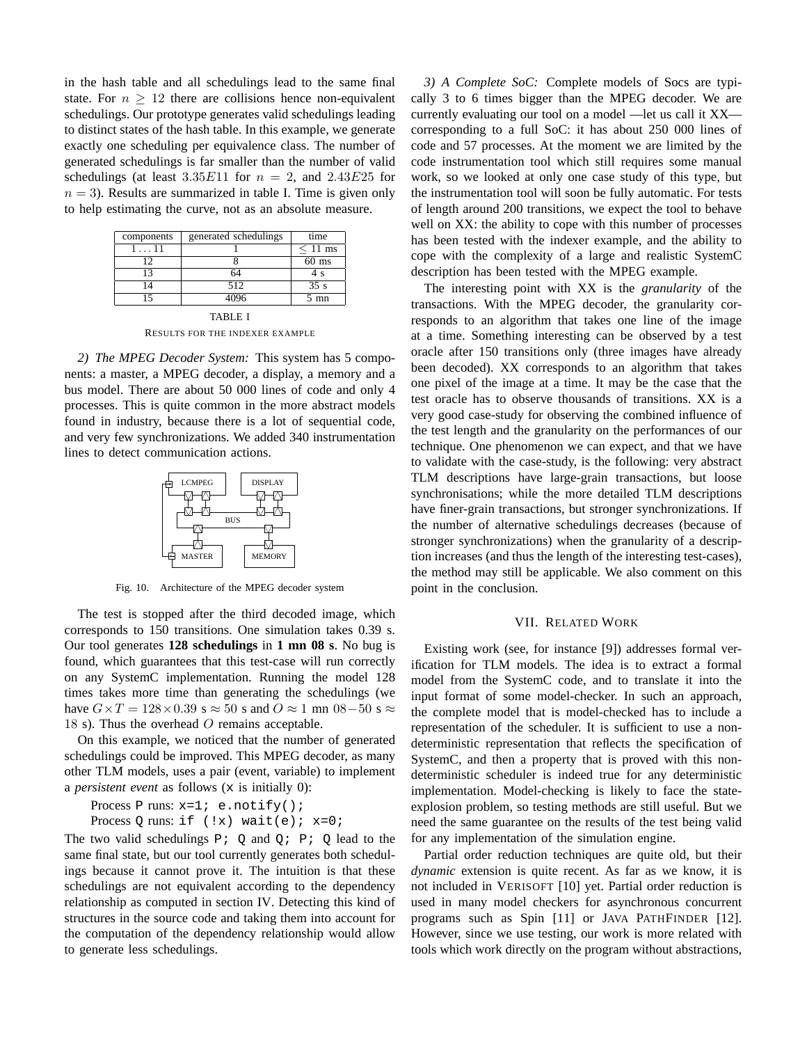in the hash table and all schedulings lead to the same final state. For  $n \geq 12$  there are collisions hence non-equivalent schedulings. Our prototype generates valid schedulings leading to distinct states of the hash table. In this example, we generate exactly one scheduling per equivalence class. The number of generated schedulings is far smaller than the number of valid schedulings (at least  $3.35E11$  for  $n = 2$ , and  $2.43E25$  for  $n = 3$ ). Results are summarized in table I. Time is given only to help estimating the curve, not as an absolute measure.

| components    | generated schedulings | time           |
|---------------|-----------------------|----------------|
| $1 \ldots 11$ |                       | $< 11$ ms      |
| 12            |                       | $60$ ms        |
| 13            | 64                    | 4 s            |
| 14            | 512                   | 35s            |
| 15            | 4096                  | $5 \text{ mn}$ |
| TABLE 1       |                       |                |

RESULTS FOR THE INDEXER EXAMPLE

*2) The MPEG Decoder System:* This system has 5 components: a master, a MPEG decoder, a display, a memory and a bus model. There are about 50 000 lines of code and only 4 processes. This is quite common in the more abstract models found in industry, because there is a lot of sequential code, and very few synchronizations. We added 340 instrumentation lines to detect communication actions.



Fig. 10. Architecture of the MPEG decoder system

The test is stopped after the third decoded image, which corresponds to 150 transitions. One simulation takes 0.39 s. Our tool generates **128 schedulings** in **1 mn 08 s**. No bug is found, which guarantees that this test-case will run correctly on any SystemC implementation. Running the model 128 times takes more time than generating the schedulings (we have  $G \times T = 128 \times 0.39$  s  $\approx 50$  s and  $O \approx 1$  mn  $08-50$  s  $\approx$ 18 s). Thus the overhead  $O$  remains acceptable.

On this example, we noticed that the number of generated schedulings could be improved. This MPEG decoder, as many other TLM models, uses a pair (event, variable) to implement a *persistent event* as follows (x is initially 0):

Process P runs:  $x=1$ ; e.notify();

Process Q runs: if  $(!x)$  wait(e);  $x=0;$ 

The two valid schedulings  $P: Q$  and  $Q: P: Q$  lead to the same final state, but our tool currently generates both schedulings because it cannot prove it. The intuition is that these schedulings are not equivalent according to the dependency relationship as computed in section IV. Detecting this kind of structures in the source code and taking them into account for the computation of the dependency relationship would allow to generate less schedulings.

*3) A Complete SoC:* Complete models of Socs are typically 3 to 6 times bigger than the MPEG decoder. We are currently evaluating our tool on a model —let us call it XX corresponding to a full SoC: it has about 250 000 lines of code and 57 processes. At the moment we are limited by the code instrumentation tool which still requires some manual work, so we looked at only one case study of this type, but the instrumentation tool will soon be fully automatic. For tests of length around 200 transitions, we expect the tool to behave well on XX: the ability to cope with this number of processes has been tested with the indexer example, and the ability to cope with the complexity of a large and realistic SystemC description has been tested with the MPEG example.

The interesting point with XX is the *granularity* of the transactions. With the MPEG decoder, the granularity corresponds to an algorithm that takes one line of the image at a time. Something interesting can be observed by a test oracle after 150 transitions only (three images have already been decoded). XX corresponds to an algorithm that takes one pixel of the image at a time. It may be the case that the test oracle has to observe thousands of transitions. XX is a very good case-study for observing the combined influence of the test length and the granularity on the performances of our technique. One phenomenon we can expect, and that we have to validate with the case-study, is the following: very abstract TLM descriptions have large-grain transactions, but loose synchronisations; while the more detailed TLM descriptions have finer-grain transactions, but stronger synchronizations. If the number of alternative schedulings decreases (because of stronger synchronizations) when the granularity of a description increases (and thus the length of the interesting test-cases), the method may still be applicable. We also comment on this point in the conclusion.

#### VII. RELATED WORK

Existing work (see, for instance [9]) addresses formal verification for TLM models. The idea is to extract a formal model from the SystemC code, and to translate it into the input format of some model-checker. In such an approach, the complete model that is model-checked has to include a representation of the scheduler. It is sufficient to use a nondeterministic representation that reflects the specification of SystemC, and then a property that is proved with this nondeterministic scheduler is indeed true for any deterministic implementation. Model-checking is likely to face the stateexplosion problem, so testing methods are still useful. But we need the same guarantee on the results of the test being valid for any implementation of the simulation engine.

Partial order reduction techniques are quite old, but their *dynamic* extension is quite recent. As far as we know, it is not included in VERISOFT [10] yet. Partial order reduction is used in many model checkers for asynchronous concurrent programs such as Spin [11] or JAVA PATHFINDER [12]. However, since we use testing, our work is more related with tools which work directly on the program without abstractions,